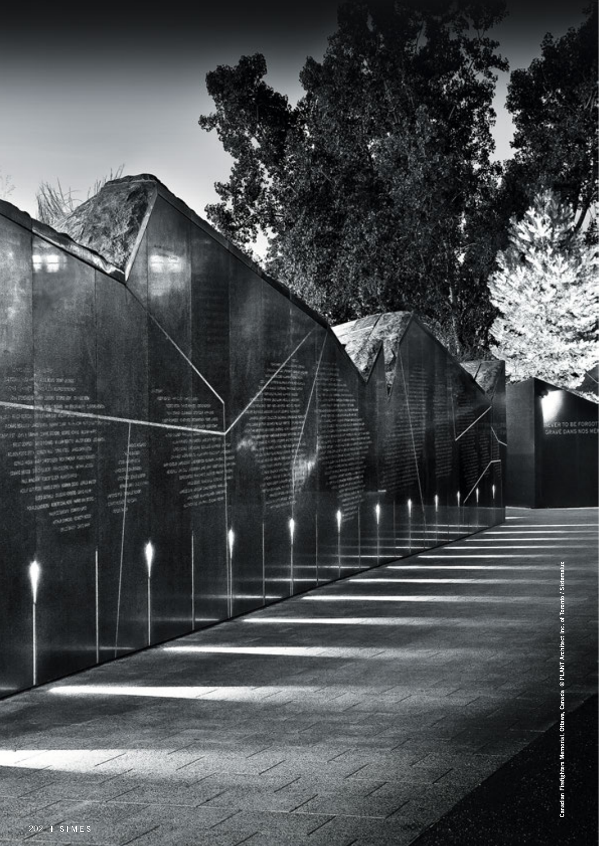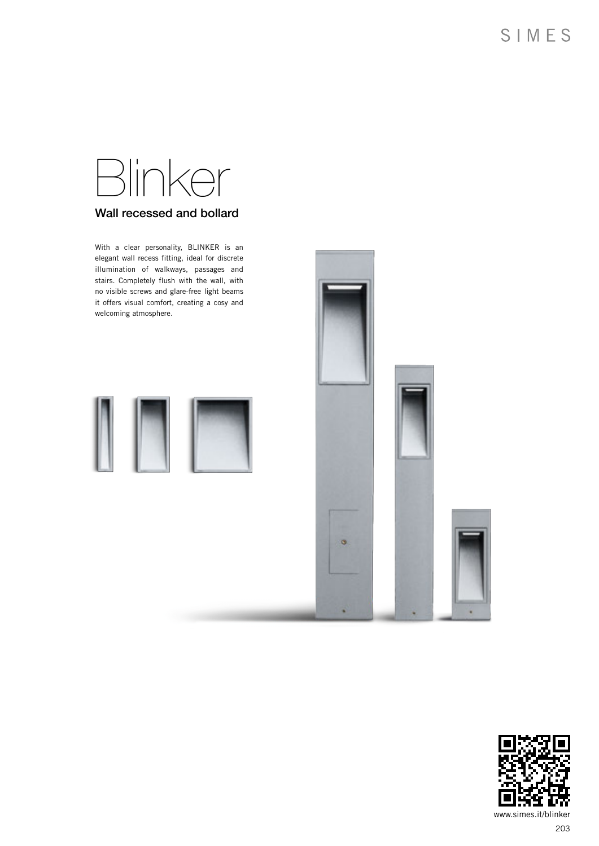# Blinker Wall recessed and bollard

With a clear personality, BLINKER is an elegant wall recess fitting, ideal for discrete illumination of walkways, passages and stairs. Completely flush with the wall, with no visible screws and glare-free light beams it offers visual comfort, creating a cosy and welcoming atmosphere.







www.simes.it/blinker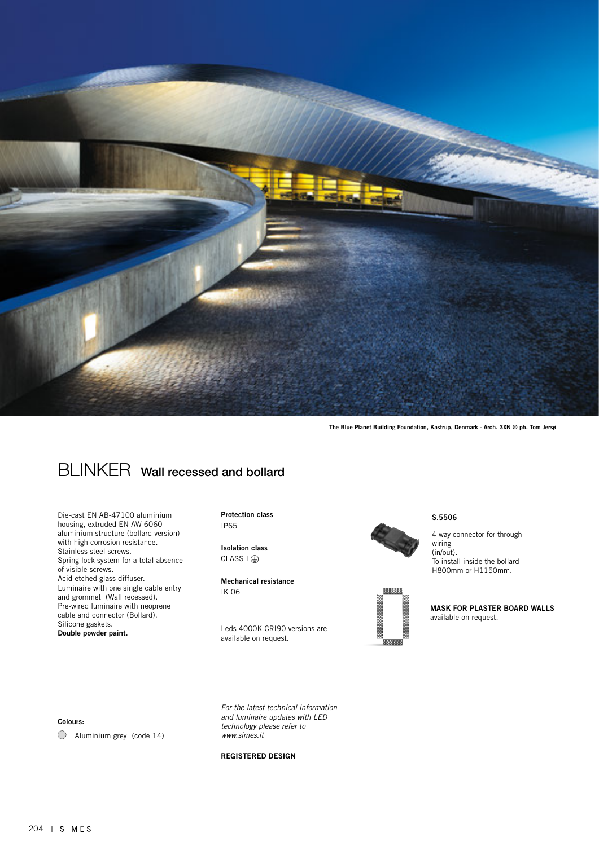

The Blue Planet Building Foundation, Kastrup, Denmark - Arch. 3XN © ph. Tom Jersø

## BLINKER Wall recessed and bollard

Die-cast EN AB-47100 aluminium housing, extruded EN AW-6060 aluminium structure (bollard version) with high corrosion resistance. Stainless steel screws. Spring lock system for a total absence of visible screws. Acid-etched glass diffuser. Luminaire with one single cable entry and grommet (Wall recessed). Pre-wired luminaire with neoprene cable and connector (Bollard). Silicone gaskets. Double powder paint.

Protection class IP65

Isolation class  $CLASS I (E)$ 

Mechanical resistance IK 06

Leds 4000K CRI90 versions are available on request.



S.5506

4 way connector for through wiring (in/out). To install inside the bollard H800mm or H1150mm.



MASK FOR PLASTER BOARD WALLS available on request.

#### Colours:

Aluminium grey (code 14)

*For the latest technical information and luminaire updates with LED technology please refer to www.simes.it* 

#### REGISTERED DESIGN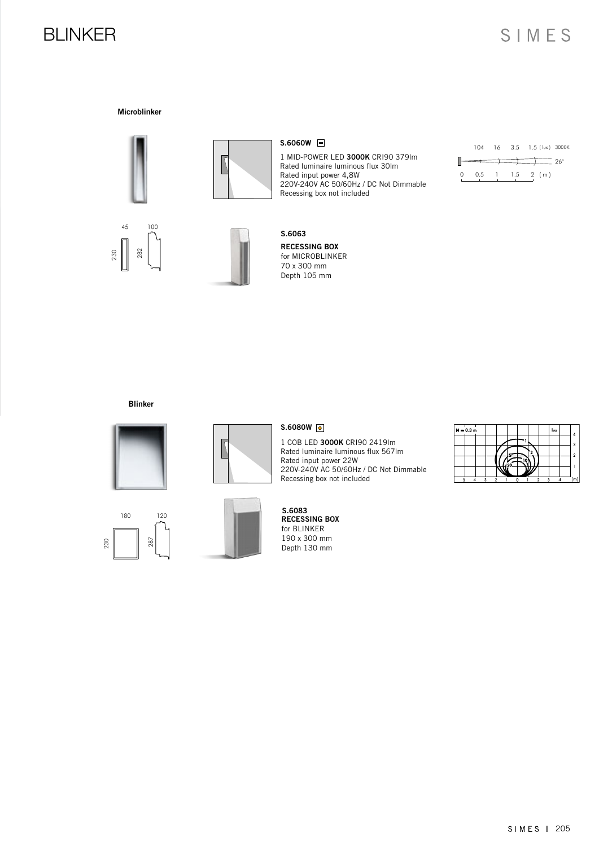### BLINKER

Microblinker





#### S.6060W

1 MID-POWER LED 3000K CRI90 379lm Rated luminaire luminous flux 30lm Rated input power 4,8W 220V-240V AC 50/60Hz / DC Not Dimmable Recessing box not included

|        |                   |  | 104 16 3.5 1.5 (lux) 3000K |            |
|--------|-------------------|--|----------------------------|------------|
|        | $\longrightarrow$ |  |                            | $26^\circ$ |
| $\cap$ | 0.5               |  | $1 \t1.5 \t2 (m)$          |            |





#### RECESSING BOX for MICROBLINKER 70 x 300 mm Depth 105 mm S.6063

#### Blinker







#### S.6080W 0

1 COB LED 3000K CRI90 2419lm Rated luminaire luminous flux 567lm Rated input power 22W 220V-240V AC 50/60Hz / DC Not Dimmable Recessing box not included



| $H = 0.3 m$ |                |  |              |              | lux | 4   |
|-------------|----------------|--|--------------|--------------|-----|-----|
|             |                |  |              |              |     | 3   |
|             |                |  |              |              |     | 2   |
|             |                |  |              |              |     |     |
|             |                |  |              |              |     |     |
| 3           | $\overline{2}$ |  | <sup>2</sup> | $\mathbf{r}$ |     | (m) |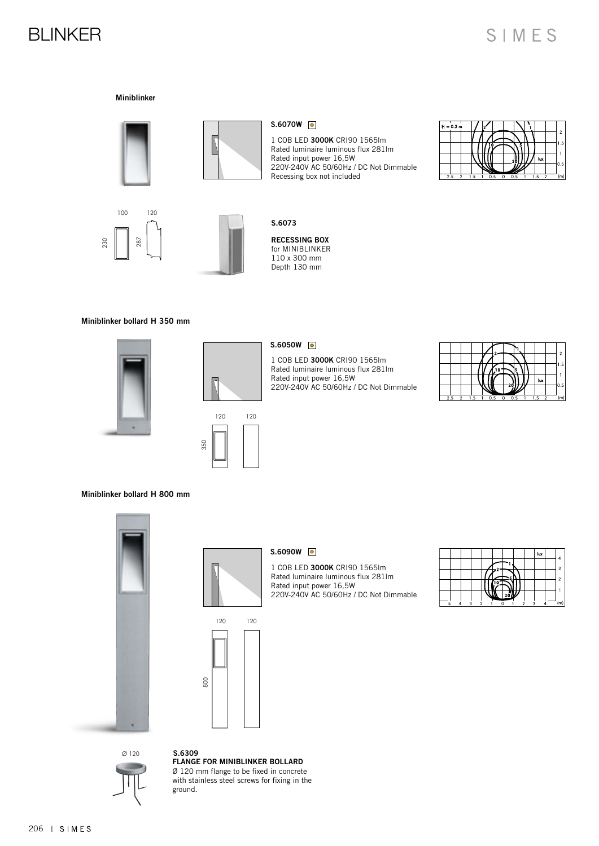### BLINKER

#### Miniblinker





#### S.6070W 0

1 COB LED 3000K CRI90 1565lm Rated luminaire luminous flux 281lm Rated input power 16,5W 220V-240V AC 50/60Hz / DC Not Dimmable Recessing box not included







#### Miniblinker bollard H 350 mm







350

#### S.6050W 0

1 COB LED 3000K CRI90 1565lm Rated luminaire luminous flux 281lm Rated input power 16,5W 220V-240V AC 50/60Hz / DC Not Dimmable



Miniblinker bollard H 800 mm



120 120

800

#### S.6090W 0

1 COB LED 3000K CRI90 1565lm Rated luminaire luminous flux 281lm Rated input power 16,5W 220V-240V AC 50/60Hz / DC Not Dimmable

|  |   |   |  |  | lux |  |
|--|---|---|--|--|-----|--|
|  |   |   |  |  |     |  |
|  |   |   |  |  |     |  |
|  |   |   |  |  |     |  |
|  |   |   |  |  |     |  |
|  | c | c |  |  |     |  |



FLANGE FOR MINIBLINKER BOLLARD Ø 120 mm flange to be fixed in concrete with stainless steel screws for fixing in the ground. S.6309